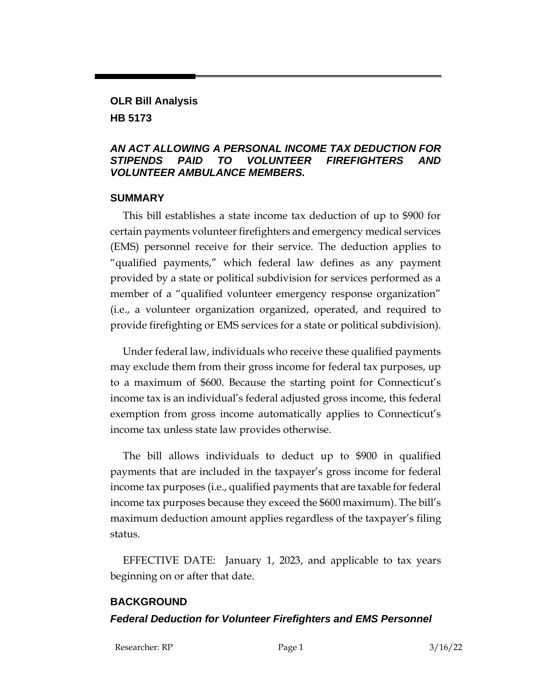### **OLR Bill Analysis HB 5173**

#### *AN ACT ALLOWING A PERSONAL INCOME TAX DEDUCTION FOR STIPENDS PAID TO VOLUNTEER FIREFIGHTERS AND VOLUNTEER AMBULANCE MEMBERS.*

#### **SUMMARY**

This bill establishes a state income tax deduction of up to \$900 for certain payments volunteer firefighters and emergency medical services (EMS) personnel receive for their service. The deduction applies to "qualified payments," which federal law defines as any payment provided by a state or political subdivision for services performed as a member of a "qualified volunteer emergency response organization" (i.e., a volunteer organization organized, operated, and required to provide firefighting or EMS services for a state or political subdivision).

Under federal law, individuals who receive these qualified payments may exclude them from their gross income for federal tax purposes, up to a maximum of \$600. Because the starting point for Connecticut's income tax is an individual's federal adjusted gross income, this federal exemption from gross income automatically applies to Connecticut's income tax unless state law provides otherwise.

The bill allows individuals to deduct up to \$900 in qualified payments that are included in the taxpayer's gross income for federal income tax purposes (i.e., qualified payments that are taxable for federal income tax purposes because they exceed the \$600 maximum). The bill's maximum deduction amount applies regardless of the taxpayer's filing status.

EFFECTIVE DATE: January 1, 2023, and applicable to tax years beginning on or after that date.

## **BACKGROUND**

### *Federal Deduction for Volunteer Firefighters and EMS Personnel*

Researcher: RP Page 1 3/16/22